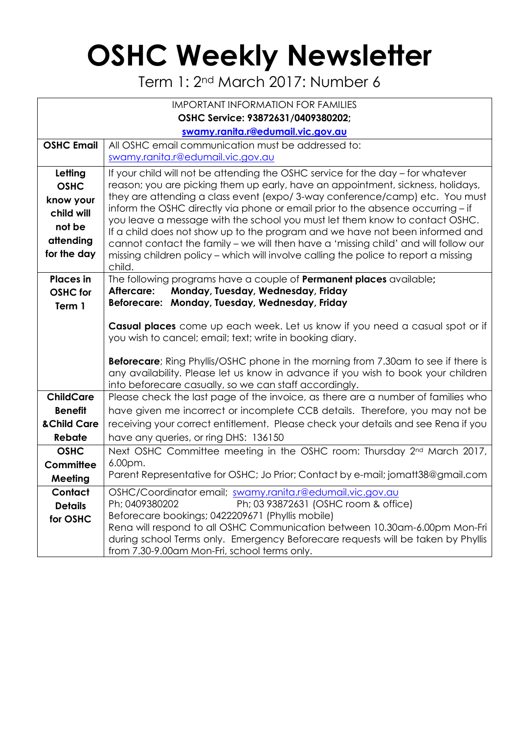## **OSHC Weekly Newsletter**

Term 1: 2nd March 2017: Number 6

| <b>IMPORTANT INFORMATION FOR FAMILIES</b> |                                                                                                                                                                |  |  |  |  |  |  |
|-------------------------------------------|----------------------------------------------------------------------------------------------------------------------------------------------------------------|--|--|--|--|--|--|
| OSHC Service: 93872631/0409380202;        |                                                                                                                                                                |  |  |  |  |  |  |
| swamy.ranita.r@edumail.vic.gov.au         |                                                                                                                                                                |  |  |  |  |  |  |
| <b>OSHC Email</b>                         | All OSHC email communication must be addressed to:                                                                                                             |  |  |  |  |  |  |
|                                           | swamy.ranita.r@edumail.vic.gov.au                                                                                                                              |  |  |  |  |  |  |
| Letting                                   | If your child will not be attending the OSHC service for the day – for whatever                                                                                |  |  |  |  |  |  |
| <b>OSHC</b>                               | reason; you are picking them up early, have an appointment, sickness, holidays,                                                                                |  |  |  |  |  |  |
| know your                                 | they are attending a class event (expo/3-way conference/camp) etc. You must<br>inform the OSHC directly via phone or email prior to the absence occurring – if |  |  |  |  |  |  |
| child will                                | you leave a message with the school you must let them know to contact OSHC.                                                                                    |  |  |  |  |  |  |
| not be                                    | If a child does not show up to the program and we have not been informed and                                                                                   |  |  |  |  |  |  |
| attending                                 | cannot contact the family – we will then have a 'missing child' and will follow our                                                                            |  |  |  |  |  |  |
| for the day                               | missing children policy - which will involve calling the police to report a missing<br>child.                                                                  |  |  |  |  |  |  |
| <b>Places</b> in                          | The following programs have a couple of <b>Permanent places</b> available;                                                                                     |  |  |  |  |  |  |
| <b>OSHC</b> for                           | Monday, Tuesday, Wednesday, Friday<br>Aftercare:                                                                                                               |  |  |  |  |  |  |
| Term 1                                    | Beforecare: Monday, Tuesday, Wednesday, Friday                                                                                                                 |  |  |  |  |  |  |
|                                           |                                                                                                                                                                |  |  |  |  |  |  |
|                                           | <b>Casual places</b> come up each week. Let us know if you need a casual spot or if<br>you wish to cancel; email; text; write in booking diary.                |  |  |  |  |  |  |
|                                           |                                                                                                                                                                |  |  |  |  |  |  |
|                                           | Beforecare; Ring Phyllis/OSHC phone in the morning from 7.30am to see if there is                                                                              |  |  |  |  |  |  |
|                                           | any availability. Please let us know in advance if you wish to book your children                                                                              |  |  |  |  |  |  |
|                                           | into beforecare casually, so we can staff accordingly.                                                                                                         |  |  |  |  |  |  |
| <b>ChildCare</b>                          | Please check the last page of the invoice, as there are a number of families who                                                                               |  |  |  |  |  |  |
| <b>Benefit</b><br>& Child Care            | have given me incorrect or incomplete CCB details. Therefore, you may not be                                                                                   |  |  |  |  |  |  |
| <b>Rebate</b>                             | receiving your correct entitlement. Please check your details and see Rena if you                                                                              |  |  |  |  |  |  |
| <b>OSHC</b>                               | have any queries, or ring DHS: 136150<br>Next OSHC Committee meeting in the OSHC room: Thursday 2 <sup>nd</sup> March 2017,                                    |  |  |  |  |  |  |
| Committee                                 | 6.00pm.                                                                                                                                                        |  |  |  |  |  |  |
| Meeting                                   | Parent Representative for OSHC; Jo Prior; Contact by e-mail; jomatt38@gmail.com                                                                                |  |  |  |  |  |  |
| Contact                                   | OSHC/Coordinator email; swamy.ranita.r@edumail.vic.gov.au                                                                                                      |  |  |  |  |  |  |
| <b>Details</b>                            | Ph; 03 93872631 (OSHC room & office)<br>Ph; 0409380202                                                                                                         |  |  |  |  |  |  |
| for OSHC                                  | Beforecare bookings; 0422209671 (Phyllis mobile)                                                                                                               |  |  |  |  |  |  |
|                                           | Rena will respond to all OSHC Communication between 10.30am-6.00pm Mon-Fri<br>during school Terms only. Emergency Beforecare requests will be taken by Phyllis |  |  |  |  |  |  |
|                                           |                                                                                                                                                                |  |  |  |  |  |  |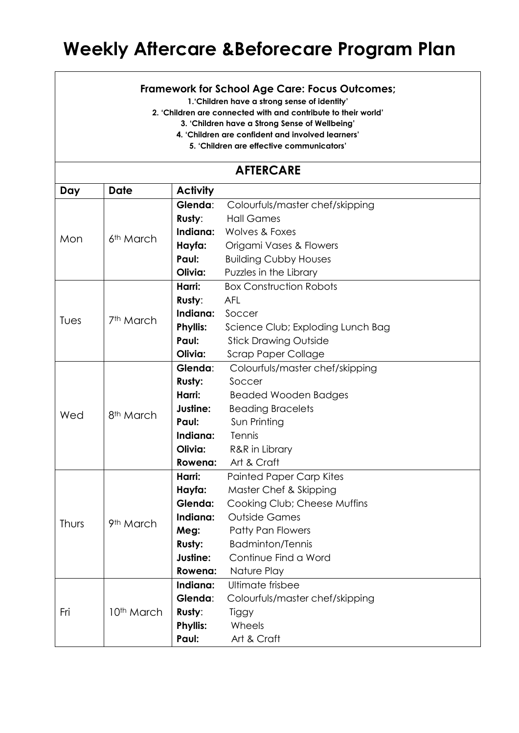## **Weekly Aftercare &Beforecare Program Plan**

## **Framework for School Age Care: Focus Outcomes;**

**1.'Children have a strong sense of identity'**

**2. 'Children are connected with and contribute to their world'**

**3. 'Children have a Strong Sense of Wellbeing'**

**4. 'Children are confident and involved learners'**

**5. 'Children are effective communicators'**

## **AFTERCARE**

| Day   | Date                   | <b>Activity</b> |                                   |  |  |  |
|-------|------------------------|-----------------|-----------------------------------|--|--|--|
| Mon   | 6 <sup>th</sup> March  | Glenda:         | Colourfuls/master chef/skipping   |  |  |  |
|       |                        | Rusty:          | <b>Hall Games</b>                 |  |  |  |
|       |                        | Indiana:        | Wolves & Foxes                    |  |  |  |
|       |                        | Hayfa:          | Origami Vases & Flowers           |  |  |  |
|       |                        | Paul:           | <b>Building Cubby Houses</b>      |  |  |  |
|       |                        | Olivia:         | Puzzles in the Library            |  |  |  |
|       | 7 <sup>th</sup> March  | Harri:          | <b>Box Construction Robots</b>    |  |  |  |
| Tues  |                        | Rusty:          | <b>AFL</b>                        |  |  |  |
|       |                        | Indiana:        | Soccer                            |  |  |  |
|       |                        | <b>Phyllis:</b> | Science Club; Exploding Lunch Bag |  |  |  |
|       |                        | Paul:           | <b>Stick Drawing Outside</b>      |  |  |  |
|       |                        | Olivia:         | <b>Scrap Paper Collage</b>        |  |  |  |
| Wed   | 8 <sup>th</sup> March  | Glenda:         | Colourfuls/master chef/skipping   |  |  |  |
|       |                        | <b>Rusty:</b>   | Soccer                            |  |  |  |
|       |                        | Harri:          | <b>Beaded Wooden Badges</b>       |  |  |  |
|       |                        | Justine:        | <b>Beading Bracelets</b>          |  |  |  |
|       |                        | Paul:           | Sun Printing                      |  |  |  |
|       |                        | Indiana:        | Tennis                            |  |  |  |
|       |                        | Olivia:         | R&R in Library                    |  |  |  |
|       |                        | Rowena:         | Art & Craft                       |  |  |  |
|       | 9 <sup>th</sup> March  | Harri:          | <b>Painted Paper Carp Kites</b>   |  |  |  |
|       |                        | Hayfa:          | Master Chef & Skipping            |  |  |  |
| Thurs |                        | Glenda:         | Cooking Club; Cheese Muffins      |  |  |  |
|       |                        | Indiana:        | <b>Outside Games</b>              |  |  |  |
|       |                        | Meg:            | <b>Patty Pan Flowers</b>          |  |  |  |
|       |                        | <b>Rusty:</b>   | <b>Badminton/Tennis</b>           |  |  |  |
|       |                        | Justine:        | Continue Find a Word              |  |  |  |
|       |                        | Rowena:         | Nature Play                       |  |  |  |
| Fri   | 10 <sup>th</sup> March | Indiana:        | Ultimate frisbee                  |  |  |  |
|       |                        | Glenda:         | Colourfuls/master chef/skipping   |  |  |  |
|       |                        | Rusty:          | Tiggy                             |  |  |  |
|       |                        | <b>Phyllis:</b> | Wheels                            |  |  |  |
|       |                        | Paul:           | Art & Craft                       |  |  |  |